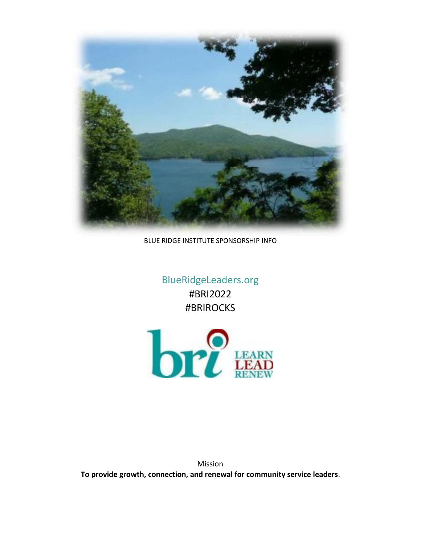

BLUE RIDGE INSTITUTE SPONSORSHIP INFO

BlueRidgeLeaders.org #BRI2022 #BRIROCKS



Mission **To provide growth, connection, and renewal for community service leaders.**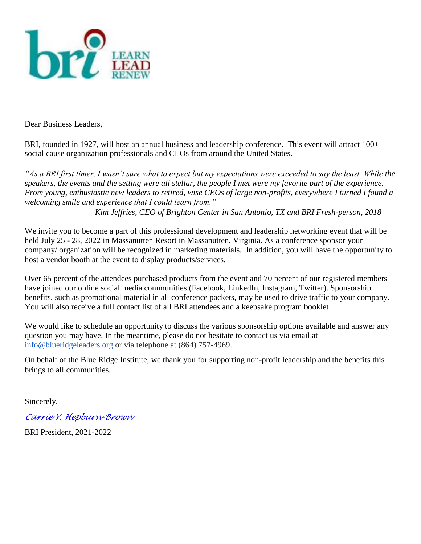

Dear Business Leaders,

BRI, founded in 1927, will host an annual business and leadership conference. This event will attract 100+ social cause organization professionals and CEOs from around the United States.

*"As a BRI first timer, I wasn't sure what to expect but my expectations were exceeded to say the least. While the speakers, the events and the setting were all stellar, the people I met were my favorite part of the experience. From young, enthusiastic new leaders to retired, wise CEOs of large non-profits, everywhere I turned I found a welcoming smile and experience that I could learn from."* 

*– Kim Jeffries, CEO of Brighton Center in San Antonio, TX and BRI Fresh-person, 2018*

We invite you to become a part of this professional development and leadership networking event that will be held July 25 - 28, 2022 in Massanutten Resort in Massanutten, Virginia. As a conference sponsor your company/ organization will be recognized in marketing materials. In addition, you will have the opportunity to host a vendor booth at the event to display products/services.

Over 65 percent of the attendees purchased products from the event and 70 percent of our registered members have joined our online social media communities (Facebook, LinkedIn, Instagram, Twitter). Sponsorship benefits, such as promotional material in all conference packets, may be used to drive traffic to your company. You will also receive a full contact list of all BRI attendees and a keepsake program booklet.

We would like to schedule an opportunity to discuss the various sponsorship options available and answer any question you may have. In the meantime, please do not hesitate to contact us via email at [info@blueridgeleaders.org](mailto:info@blueridgeleaders.org) or via telephone at (864) 757-4969.

On behalf of the Blue Ridge Institute, we thank you for supporting non-profit leadership and the benefits this brings to all communities.

Sincerely,

*[Carrie Y. Hepburn-Brown](mailto:carrie@onyxscllc.com)*

BRI President, 2021-2022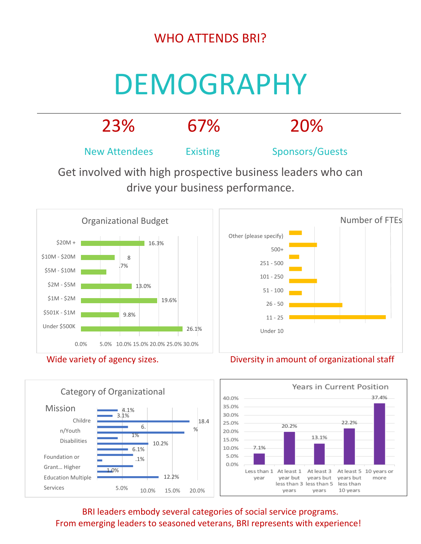## WHO ATTENDS BRI?

# DEMOGRAPHY













BRI leaders embody several categories of social service programs. From emerging leaders to seasoned veterans, BRI represents with experience!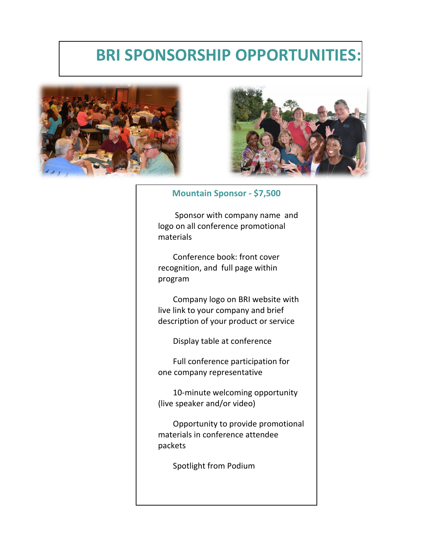## **BRI SPONSORSHIP OPPORTUNITIES:**





#### **Mountain Sponsor - \$7,500**

Sponsor with company name and logo on all conference promotional materials

Conference book: front cover recognition, and full page within program

Company logo on BRI website with live link to your company and brief description of your product or service

Display table at conference

Full conference participation for one company representative

10-minute welcoming opportunity (live speaker and/or video)

Opportunity to provide promotional materials in conference attendee packets

Spotlight from Podium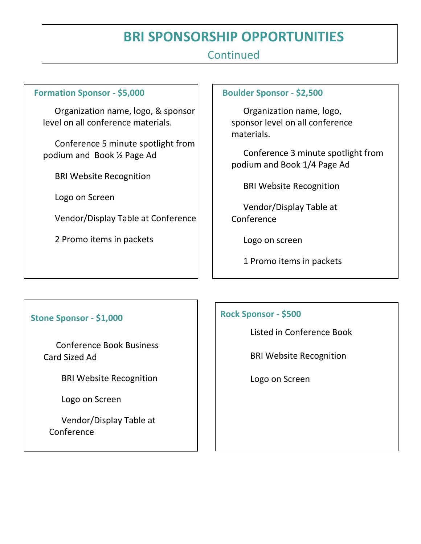## **BRI SPONSORSHIP OPPORTUNITIES**

### **Continued**

#### **Formation Sponsor - \$5,000**

Organization name, logo, & sponsor level on all conference materials.

Conference 5 minute spotlight from podium and Book ½ Page Ad

BRI Website Recognition

Logo on Screen

Vendor/Display Table at Conference

2 Promo items in packets

#### **Boulder Sponsor - \$2,500**

Organization name, logo, sponsor level on all conference materials.

Conference 3 minute spotlight from podium and Book 1/4 Page Ad

BRI Website Recognition

Vendor/Display Table at Conference

Logo on screen

1 Promo items in packets

#### **Stone Sponsor - \$1,000**

Conference Book Business Card Sized Ad

BRI Website Recognition

Logo on Screen

Vendor/Display Table at Conference

#### **Rock Sponsor - \$500**

Listed in Conference Book

BRI Website Recognition

Logo on Screen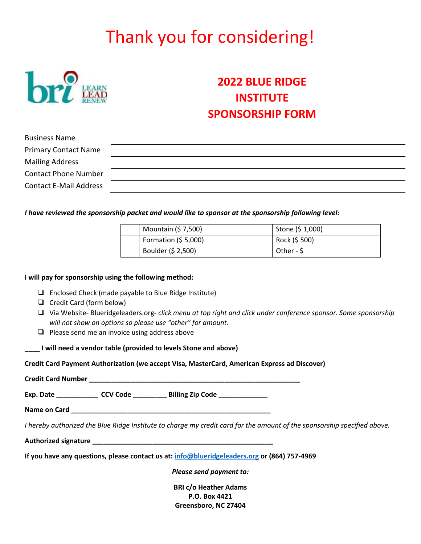## Thank you for considering!



## **2022 BLUE RIDGE INSTITUTE SPONSORSHIP FORM**

| <b>Business Name</b>          |  |
|-------------------------------|--|
| <b>Primary Contact Name</b>   |  |
| <b>Mailing Address</b>        |  |
| <b>Contact Phone Number</b>   |  |
| <b>Contact E-Mail Address</b> |  |

#### *I have reviewed the sponsorship packet and would like to sponsor at the sponsorship following level:*

| Mountain (\$ 7,500)  | Stone $(5 1,000)$ |
|----------------------|-------------------|
| Formation $(55,000)$ | Rock (\$500)      |
| Boulder (\$ 2,500)   | Other - \$        |

#### **I will pay for sponsorship using the following method:**

- ❑ Enclosed Check (made payable to Blue Ridge Institute)
- ❑ Credit Card (form below)
- ❑ Via Website- Blueridgeleaders.org- *click menu at top right and click under conference sponsor. Some sponsorship will not show on options so please use "other" for amount.*
- ❑ Please send me an invoice using address above

**\_\_\_\_ I will need a vendor table (provided to levels Stone and above)**

**Credit Card Payment Authorization (we accept Visa, MasterCard, American Express ad Discover)** 

|  | Exp. Date ________________ CCV Code _____________ Billing Zip Code _____________             |                                                                                                                          |
|--|----------------------------------------------------------------------------------------------|--------------------------------------------------------------------------------------------------------------------------|
|  |                                                                                              |                                                                                                                          |
|  |                                                                                              | I hereby authorized the Blue Ridge Institute to charge my credit card for the amount of the sponsorship specified above. |
|  |                                                                                              |                                                                                                                          |
|  | If you have any questions, please contact us at: info@blueridgeleaders.org or (864) 757-4969 |                                                                                                                          |
|  | Please send payment to:                                                                      |                                                                                                                          |
|  | <b>BRI c/o Heather Adams</b>                                                                 |                                                                                                                          |
|  | P.O. Box 4421                                                                                |                                                                                                                          |
|  | Greensboro, NC 27404                                                                         |                                                                                                                          |